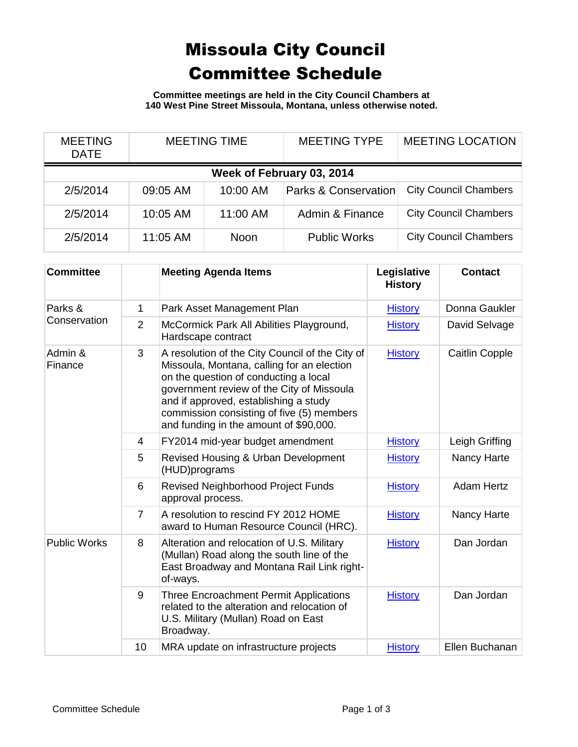## Missoula City Council Committee Schedule

**Committee meetings are held in the City Council Chambers at 140 West Pine Street Missoula, Montana, unless otherwise noted.**

| <b>MEETING</b><br><b>DATE</b> | <b>MEETING TIME</b> |             | <b>MEETING TYPE</b>             | <b>MEETING LOCATION</b>      |  |  |
|-------------------------------|---------------------|-------------|---------------------------------|------------------------------|--|--|
| Week of February 03, 2014     |                     |             |                                 |                              |  |  |
| 2/5/2014                      | 09:05 AM            | 10:00 AM    | <b>Parks &amp; Conservation</b> | <b>City Council Chambers</b> |  |  |
| 2/5/2014                      | 10:05 AM            | 11:00 AM    | Admin & Finance                 | <b>City Council Chambers</b> |  |  |
| 2/5/2014                      | 11:05 AM            | <b>Noon</b> | <b>Public Works</b>             | <b>City Council Chambers</b> |  |  |

| <b>Committee</b>        |                | <b>Meeting Agenda Items</b>                                                                                                                                                                                                                                                                                         | Legislative<br><b>History</b> | <b>Contact</b>        |
|-------------------------|----------------|---------------------------------------------------------------------------------------------------------------------------------------------------------------------------------------------------------------------------------------------------------------------------------------------------------------------|-------------------------------|-----------------------|
| Parks &<br>Conservation | $\mathbf{1}$   | Park Asset Management Plan                                                                                                                                                                                                                                                                                          | <b>History</b>                | Donna Gaukler         |
|                         | 2              | McCormick Park All Abilities Playground,<br>Hardscape contract                                                                                                                                                                                                                                                      | <b>History</b>                | David Selvage         |
| Admin &<br>Finance      | 3              | A resolution of the City Council of the City of<br>Missoula, Montana, calling for an election<br>on the question of conducting a local<br>government review of the City of Missoula<br>and if approved, establishing a study<br>commission consisting of five (5) members<br>and funding in the amount of \$90,000. | <b>History</b>                | <b>Caitlin Copple</b> |
|                         | 4              | FY2014 mid-year budget amendment                                                                                                                                                                                                                                                                                    | <b>History</b>                | Leigh Griffing        |
|                         | 5              | Revised Housing & Urban Development<br>(HUD)programs                                                                                                                                                                                                                                                                | <b>History</b>                | Nancy Harte           |
|                         | 6              | Revised Neighborhood Project Funds<br>approval process.                                                                                                                                                                                                                                                             | <b>History</b>                | <b>Adam Hertz</b>     |
|                         | $\overline{7}$ | A resolution to rescind FY 2012 HOME<br>award to Human Resource Council (HRC).                                                                                                                                                                                                                                      | <b>History</b>                | Nancy Harte           |
| <b>Public Works</b>     | 8              | Alteration and relocation of U.S. Military<br>(Mullan) Road along the south line of the<br>East Broadway and Montana Rail Link right-<br>of-ways.                                                                                                                                                                   | <b>History</b>                | Dan Jordan            |
|                         | 9              | <b>Three Encroachment Permit Applications</b><br>related to the alteration and relocation of<br>U.S. Military (Mullan) Road on East<br>Broadway.                                                                                                                                                                    | <b>History</b>                | Dan Jordan            |
|                         | 10             | MRA update on infrastructure projects                                                                                                                                                                                                                                                                               | <b>History</b>                | Ellen Buchanan        |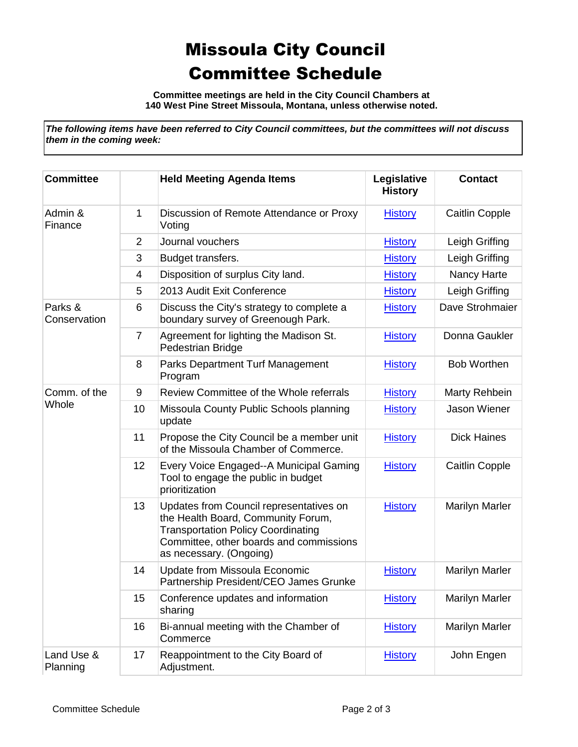## Missoula City Council Committee Schedule

**Committee meetings are held in the City Council Chambers at 140 West Pine Street Missoula, Montana, unless otherwise noted.**

*The following items have been referred to City Council committees, but the committees will not discuss them in the coming week:*

| <b>Committee</b>        |                | <b>Held Meeting Agenda Items</b>                                                                                                                                                                 | Legislative<br><b>History</b> | <b>Contact</b>        |
|-------------------------|----------------|--------------------------------------------------------------------------------------------------------------------------------------------------------------------------------------------------|-------------------------------|-----------------------|
| Admin &<br>Finance      | $\mathbf{1}$   | Discussion of Remote Attendance or Proxy<br>Voting                                                                                                                                               | <b>History</b>                | <b>Caitlin Copple</b> |
|                         | $\overline{2}$ | Journal vouchers                                                                                                                                                                                 | <b>History</b>                | Leigh Griffing        |
|                         | 3              | Budget transfers.                                                                                                                                                                                | <b>History</b>                | Leigh Griffing        |
|                         | 4              | Disposition of surplus City land.                                                                                                                                                                | <b>History</b>                | Nancy Harte           |
|                         | 5              | 2013 Audit Exit Conference                                                                                                                                                                       | <b>History</b>                | Leigh Griffing        |
| Parks &<br>Conservation | 6              | Discuss the City's strategy to complete a<br>boundary survey of Greenough Park.                                                                                                                  | <b>History</b>                | Dave Strohmaier       |
|                         | $\overline{7}$ | Agreement for lighting the Madison St.<br>Pedestrian Bridge                                                                                                                                      | <b>History</b>                | Donna Gaukler         |
|                         | 8              | <b>Parks Department Turf Management</b><br>Program                                                                                                                                               | <b>History</b>                | <b>Bob Worthen</b>    |
| Comm. of the            | 9              | Review Committee of the Whole referrals                                                                                                                                                          | <b>History</b>                | Marty Rehbein         |
| Whole                   | 10             | Missoula County Public Schools planning<br>update                                                                                                                                                | <b>History</b>                | Jason Wiener          |
|                         | 11             | Propose the City Council be a member unit<br>of the Missoula Chamber of Commerce.                                                                                                                | <b>History</b>                | <b>Dick Haines</b>    |
|                         | 12             | Every Voice Engaged--A Municipal Gaming<br>Tool to engage the public in budget<br>prioritization                                                                                                 | <b>History</b>                | <b>Caitlin Copple</b> |
|                         | 13             | Updates from Council representatives on<br>the Health Board, Community Forum,<br><b>Transportation Policy Coordinating</b><br>Committee, other boards and commissions<br>as necessary. (Ongoing) | <b>History</b>                | <b>Marilyn Marler</b> |
|                         | 14             | Update from Missoula Economic<br>Partnership President/CEO James Grunke                                                                                                                          | <b>History</b>                | <b>Marilyn Marler</b> |
|                         | 15             | Conference updates and information<br>sharing                                                                                                                                                    | <b>History</b>                | <b>Marilyn Marler</b> |
|                         | 16             | Bi-annual meeting with the Chamber of<br>Commerce                                                                                                                                                | <b>History</b>                | <b>Marilyn Marler</b> |
| Land Use &<br>Planning  | 17             | Reappointment to the City Board of<br>Adjustment.                                                                                                                                                | <b>History</b>                | John Engen            |